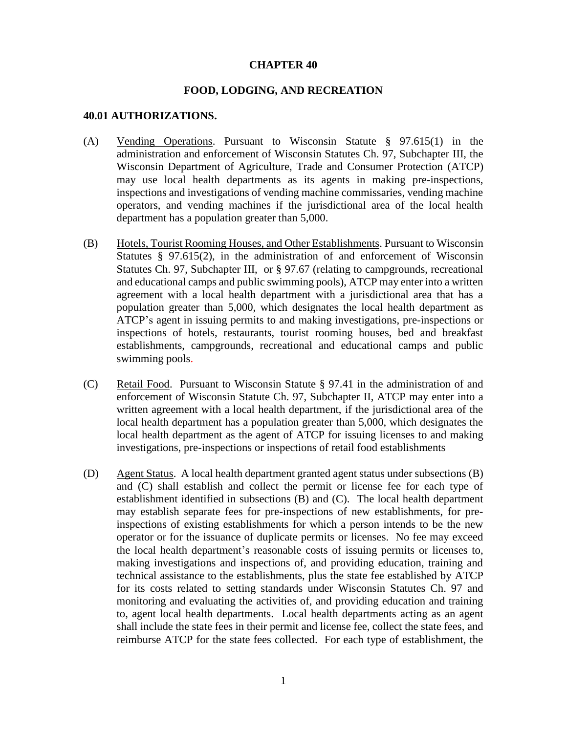#### **CHAPTER 40**

#### **FOOD, LODGING, AND RECREATION**

#### **40.01 AUTHORIZATIONS.**

- (A) Vending Operations. Pursuant to Wisconsin Statute § 97.615(1) in the administration and enforcement of Wisconsin Statutes Ch. 97, Subchapter III, the Wisconsin Department of Agriculture, Trade and Consumer Protection (ATCP) may use local health departments as its agents in making pre-inspections, inspections and investigations of vending machine commissaries, vending machine operators, and vending machines if the jurisdictional area of the local health department has a population greater than 5,000.
- (B) Hotels, Tourist Rooming Houses, and Other Establishments. Pursuant to Wisconsin Statutes § 97.615(2), in the administration of and enforcement of Wisconsin Statutes Ch. 97, Subchapter III, or § 97.67 (relating to campgrounds, recreational and educational camps and public swimming pools), ATCP may enter into a written agreement with a local health department with a jurisdictional area that has a population greater than 5,000, which designates the local health department as ATCP's agent in issuing permits to and making investigations, pre-inspections or inspections of hotels, restaurants, tourist rooming houses, bed and breakfast establishments, campgrounds, recreational and educational camps and public swimming pools.
- (C) Retail Food. Pursuant to Wisconsin Statute § 97.41 in the administration of and enforcement of Wisconsin Statute Ch. 97, Subchapter II, ATCP may enter into a written agreement with a local health department, if the jurisdictional area of the local health department has a population greater than 5,000, which designates the local health department as the agent of ATCP for issuing licenses to and making investigations, pre-inspections or inspections of retail food establishments
- (D) Agent Status. A local health department granted agent status under subsections (B) and (C) shall establish and collect the permit or license fee for each type of establishment identified in subsections (B) and (C). The local health department may establish separate fees for pre-inspections of new establishments, for preinspections of existing establishments for which a person intends to be the new operator or for the issuance of duplicate permits or licenses. No fee may exceed the local health department's reasonable costs of issuing permits or licenses to, making investigations and inspections of, and providing education, training and technical assistance to the establishments, plus the state fee established by ATCP for its costs related to setting standards under Wisconsin Statutes Ch. 97 and monitoring and evaluating the activities of, and providing education and training to, agent local health departments. Local health departments acting as an agent shall include the state fees in their permit and license fee, collect the state fees, and reimburse ATCP for the state fees collected. For each type of establishment, the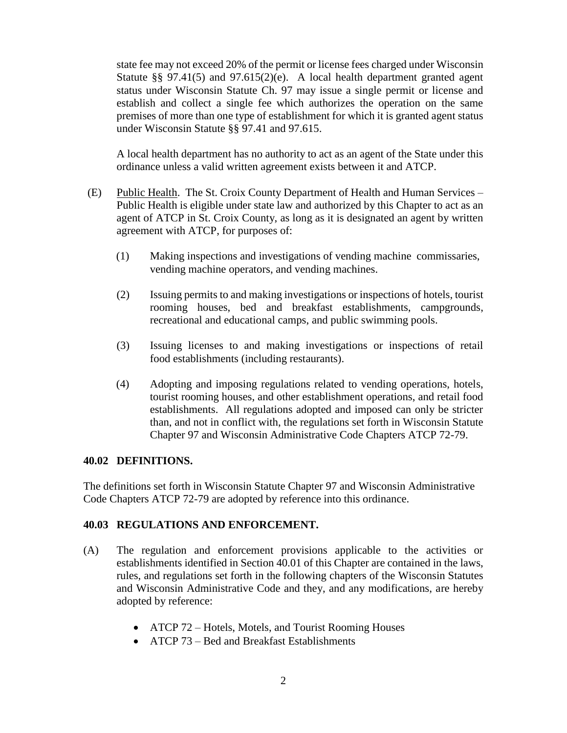state fee may not exceed 20% of the permit or license fees charged under Wisconsin Statute §§ 97.41(5) and 97.615(2)(e). A local health department granted agent status under Wisconsin Statute Ch. 97 may issue a single permit or license and establish and collect a single fee which authorizes the operation on the same premises of more than one type of establishment for which it is granted agent status under Wisconsin Statute §§ 97.41 and 97.615.

A local health department has no authority to act as an agent of the State under this ordinance unless a valid written agreement exists between it and ATCP.

- (E) Public Health. The St. Croix County Department of Health and Human Services Public Health is eligible under state law and authorized by this Chapter to act as an agent of ATCP in St. Croix County, as long as it is designated an agent by written agreement with ATCP, for purposes of:
	- (1) Making inspections and investigations of vending machine commissaries, vending machine operators, and vending machines.
	- (2) Issuing permits to and making investigations or inspections of hotels, tourist rooming houses, bed and breakfast establishments, campgrounds, recreational and educational camps, and public swimming pools.
	- (3) Issuing licenses to and making investigations or inspections of retail food establishments (including restaurants).
	- (4) Adopting and imposing regulations related to vending operations, hotels, tourist rooming houses, and other establishment operations, and retail food establishments. All regulations adopted and imposed can only be stricter than, and not in conflict with, the regulations set forth in Wisconsin Statute Chapter 97 and Wisconsin Administrative Code Chapters ATCP 72-79.

#### **40.02 DEFINITIONS.**

The definitions set forth in Wisconsin Statute Chapter 97 and Wisconsin Administrative Code Chapters ATCP 72-79 are adopted by reference into this ordinance.

# **40.03 REGULATIONS AND ENFORCEMENT.**

- (A) The regulation and enforcement provisions applicable to the activities or establishments identified in Section 40.01 of this Chapter are contained in the laws, rules, and regulations set forth in the following chapters of the Wisconsin Statutes and Wisconsin Administrative Code and they, and any modifications, are hereby adopted by reference:
	- ATCP 72 Hotels, Motels, and Tourist Rooming Houses
	- ATCP 73 Bed and Breakfast Establishments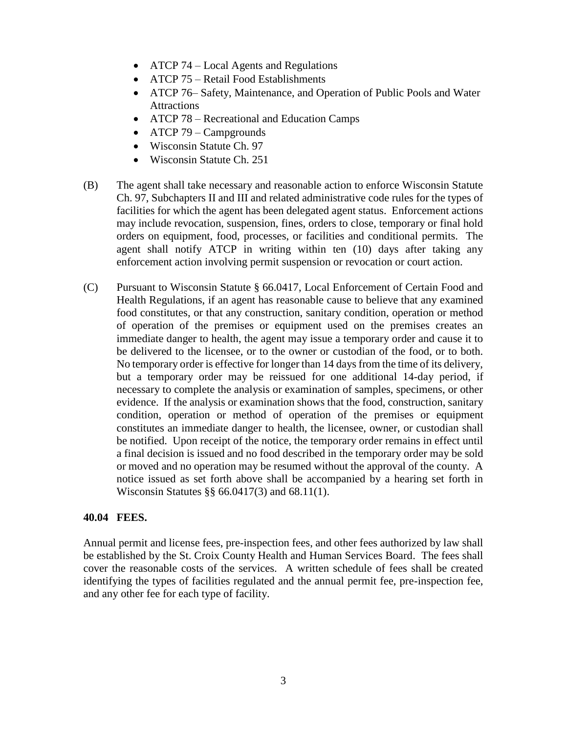- ATCP 74 Local Agents and Regulations
- ATCP 75 Retail Food Establishments
- ATCP 76– Safety, Maintenance, and Operation of Public Pools and Water Attractions
- ATCP 78 Recreational and Education Camps
- ATCP 79 Campgrounds
- Wisconsin Statute Ch. 97
- Wisconsin Statute Ch. 251
- (B) The agent shall take necessary and reasonable action to enforce Wisconsin Statute Ch. 97, Subchapters II and III and related administrative code rules for the types of facilities for which the agent has been delegated agent status. Enforcement actions may include revocation, suspension, fines, orders to close, temporary or final hold orders on equipment, food, processes, or facilities and conditional permits. The agent shall notify ATCP in writing within ten (10) days after taking any enforcement action involving permit suspension or revocation or court action.
- (C) Pursuant to Wisconsin Statute § 66.0417, Local Enforcement of Certain Food and Health Regulations, if an agent has reasonable cause to believe that any examined food constitutes, or that any construction, sanitary condition, operation or method of operation of the premises or equipment used on the premises creates an immediate danger to health, the agent may issue a temporary order and cause it to be delivered to the licensee, or to the owner or custodian of the food, or to both. No temporary order is effective for longer than 14 days from the time of its delivery, but a temporary order may be reissued for one additional 14-day period, if necessary to complete the analysis or examination of samples, specimens, or other evidence. If the analysis or examination shows that the food, construction, sanitary condition, operation or method of operation of the premises or equipment constitutes an immediate danger to health, the licensee, owner, or custodian shall be notified. Upon receipt of the notice, the temporary order remains in effect until a final decision is issued and no food described in the temporary order may be sold or moved and no operation may be resumed without the approval of the county. A notice issued as set forth above shall be accompanied by a hearing set forth in Wisconsin Statutes §§ 66.0417(3) and 68.11(1).

# **40.04 FEES.**

Annual permit and license fees, pre-inspection fees, and other fees authorized by law shall be established by the St. Croix County Health and Human Services Board. The fees shall cover the reasonable costs of the services. A written schedule of fees shall be created identifying the types of facilities regulated and the annual permit fee, pre-inspection fee, and any other fee for each type of facility.